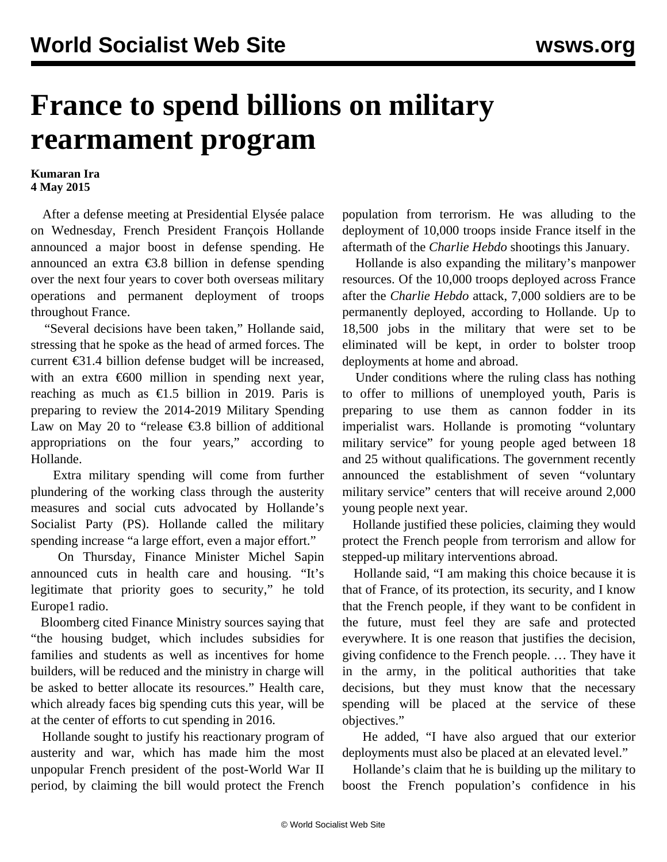## **France to spend billions on military rearmament program**

## **Kumaran Ira 4 May 2015**

 After a defense meeting at Presidential Elysée palace on Wednesday, French President François Hollande announced a major boost in defense spending. He announced an extra €3.8 billion in defense spending over the next four years to cover both overseas military operations and permanent deployment of troops throughout France.

 "Several decisions have been taken," Hollande said, stressing that he spoke as the head of armed forces. The current €31.4 billion defense budget will be increased, with an extra  $\epsilon$ 600 million in spending next year, reaching as much as  $\epsilon$ 1.5 billion in 2019. Paris is preparing to review the 2014-2019 Military Spending Law on May 20 to "release  $\epsilon$ 3.8 billion of additional appropriations on the four years," according to Hollande.

 Extra military spending will come from further plundering of the working class through the austerity measures and social cuts advocated by Hollande's Socialist Party (PS). Hollande called the military spending increase "a large effort, even a major effort."

 On Thursday, Finance Minister Michel Sapin announced cuts in health care and housing. "It's legitimate that priority goes to security," he told Europe1 radio.

 Bloomberg cited Finance Ministry sources saying that "the housing budget, which includes subsidies for families and students as well as incentives for home builders, will be reduced and the ministry in charge will be asked to better allocate its resources." Health care, which already faces big spending cuts this year, will be at the center of efforts to cut spending in 2016.

 Hollande sought to justify his reactionary program of austerity and war, which has made him the most unpopular French president of the post-World War II period, by claiming the bill would protect the French

population from terrorism. He was alluding to the deployment of 10,000 troops inside France itself in the aftermath of the *Charlie Hebdo* shootings this January.

 Hollande is also expanding the military's manpower resources. Of the 10,000 troops deployed across France after the *Charlie Hebdo* attack, 7,000 soldiers are to be permanently deployed, according to Hollande. Up to 18,500 jobs in the military that were set to be eliminated will be kept, in order to bolster troop deployments at home and abroad.

 Under conditions where the ruling class has nothing to offer to millions of unemployed youth, Paris is preparing to use them as cannon fodder in its imperialist wars. Hollande is promoting "voluntary military service" for young people aged between 18 and 25 without qualifications. The government recently announced the establishment of seven "voluntary military service" centers that will receive around 2,000 young people next year.

 Hollande justified these policies, claiming they would protect the French people from terrorism and allow for stepped-up military interventions abroad.

 Hollande said, "I am making this choice because it is that of France, of its protection, its security, and I know that the French people, if they want to be confident in the future, must feel they are safe and protected everywhere. It is one reason that justifies the decision, giving confidence to the French people. … They have it in the army, in the political authorities that take decisions, but they must know that the necessary spending will be placed at the service of these objectives."

 He added, "I have also argued that our exterior deployments must also be placed at an elevated level."

 Hollande's claim that he is building up the military to boost the French population's confidence in his